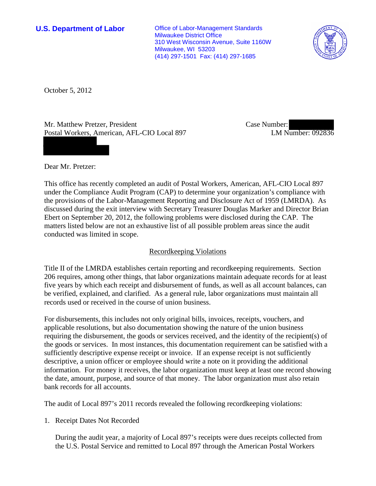**U.S. Department of Labor** Office of Labor-Management Standards Milwaukee District Office 310 West Wisconsin Avenue, Suite 1160W Milwaukee, WI 53203 (414) 297-1501 Fax: (414) 297-1685



October 5, 2012

Mr. Matthew Pretzer, President Postal Workers, American, AFL-CIO Local 897 Case Number: LM Number: 092836

Dear Mr. Pretzer:

This office has recently completed an audit of Postal Workers, American, AFL-CIO Local 897 under the Compliance Audit Program (CAP) to determine your organization's compliance with the provisions of the Labor-Management Reporting and Disclosure Act of 1959 (LMRDA). As discussed during the exit interview with Secretary Treasurer Douglas Marker and Director Brian Ebert on September 20, 2012, the following problems were disclosed during the CAP. The matters listed below are not an exhaustive list of all possible problem areas since the audit conducted was limited in scope.

# Recordkeeping Violations

Title II of the LMRDA establishes certain reporting and recordkeeping requirements. Section 206 requires, among other things, that labor organizations maintain adequate records for at least five years by which each receipt and disbursement of funds, as well as all account balances, can be verified, explained, and clarified. As a general rule, labor organizations must maintain all records used or received in the course of union business.

For disbursements, this includes not only original bills, invoices, receipts, vouchers, and applicable resolutions, but also documentation showing the nature of the union business requiring the disbursement, the goods or services received, and the identity of the recipient(s) of the goods or services. In most instances, this documentation requirement can be satisfied with a sufficiently descriptive expense receipt or invoice. If an expense receipt is not sufficiently descriptive, a union officer or employee should write a note on it providing the additional information. For money it receives, the labor organization must keep at least one record showing the date, amount, purpose, and source of that money. The labor organization must also retain bank records for all accounts.

The audit of Local 897's 2011 records revealed the following recordkeeping violations:

1. Receipt Dates Not Recorded

During the audit year, a majority of Local 897's receipts were dues receipts collected from the U.S. Postal Service and remitted to Local 897 through the American Postal Workers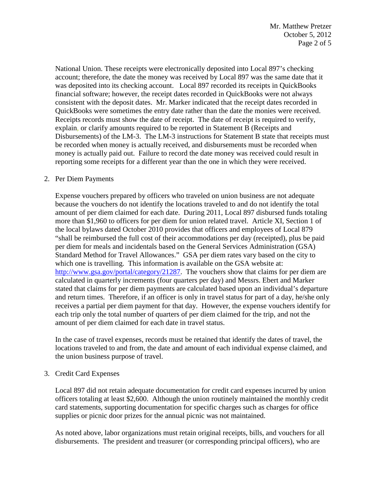National Union. These receipts were electronically deposited into Local 897's checking account; therefore, the date the money was received by Local 897 was the same date that it was deposited into its checking account. Local 897 recorded its receipts in QuickBooks financial software; however, the receipt dates recorded in QuickBooks were not always consistent with the deposit dates. Mr. Marker indicated that the receipt dates recorded in QuickBooks were sometimes the entry date rather than the date the monies were received. Receipts records must show the date of receipt. The date of receipt is required to verify, explain, or clarify amounts required to be reported in Statement B (Receipts and Disbursements) of the LM-3. The LM-3 instructions for Statement B state that receipts must be recorded when money is actually received, and disbursements must be recorded when money is actually paid out. Failure to record the date money was received could result in reporting some receipts for a different year than the one in which they were received.

## 2. Per Diem Payments

Expense vouchers prepared by officers who traveled on union business are not adequate because the vouchers do not identify the locations traveled to and do not identify the total amount of per diem claimed for each date. During 2011, Local 897 disbursed funds totaling more than \$1,960 to officers for per diem for union related travel. Article XI, Section 1 of the local bylaws dated October 2010 provides that officers and employees of Local 879 "shall be reimbursed the full cost of their accommodations per day (receipted), plus be paid per diem for meals and incidentals based on the General Services Administration (GSA) Standard Method for Travel Allowances." GSA per diem rates vary based on the city to which one is travelling. This information is available on the GSA website at: [http://www.gsa.gov/portal/category/21287.](http://www.gsa.gov/portal/category/21287) The vouchers show that claims for per diem are calculated in quarterly increments (four quarters per day) and Messrs. Ebert and Marker stated that claims for per diem payments are calculated based upon an individual's departure and return times. Therefore, if an officer is only in travel status for part of a day, he/she only receives a partial per diem payment for that day. However, the expense vouchers identify for each trip only the total number of quarters of per diem claimed for the trip, and not the amount of per diem claimed for each date in travel status.

In the case of travel expenses, records must be retained that identify the dates of travel, the locations traveled to and from, the date and amount of each individual expense claimed, and the union business purpose of travel.

#### 3. Credit Card Expenses

Local 897 did not retain adequate documentation for credit card expenses incurred by union officers totaling at least \$2,600. Although the union routinely maintained the monthly credit card statements, supporting documentation for specific charges such as charges for office supplies or picnic door prizes for the annual picnic was not maintained.

As noted above, labor organizations must retain original receipts, bills, and vouchers for all disbursements. The president and treasurer (or corresponding principal officers), who are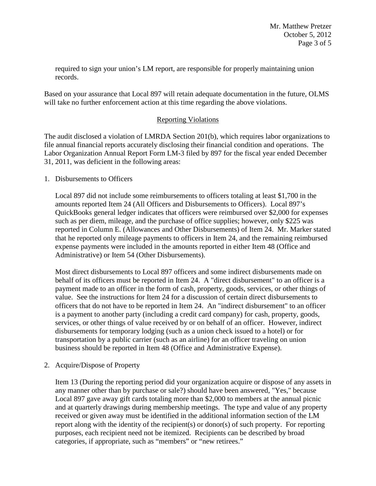required to sign your union's LM report, are responsible for properly maintaining union records.

Based on your assurance that Local 897 will retain adequate documentation in the future, OLMS will take no further enforcement action at this time regarding the above violations.

# Reporting Violations

The audit disclosed a violation of LMRDA Section 201(b), which requires labor organizations to file annual financial reports accurately disclosing their financial condition and operations. The Labor Organization Annual Report Form LM-3 filed by 897 for the fiscal year ended December 31, 2011, was deficient in the following areas:

## 1. Disbursements to Officers

Local 897 did not include some reimbursements to officers totaling at least \$1,700 in the amounts reported Item 24 (All Officers and Disbursements to Officers). Local 897's QuickBooks general ledger indicates that officers were reimbursed over \$2,000 for expenses such as per diem, mileage, and the purchase of office supplies; however, only \$225 was reported in Column E. (Allowances and Other Disbursements) of Item 24. Mr. Marker stated that he reported only mileage payments to officers in Item 24, and the remaining reimbursed expense payments were included in the amounts reported in either Item 48 (Office and Administrative) or Item 54 (Other Disbursements).

Most direct disbursements to Local 897 officers and some indirect disbursements made on behalf of its officers must be reported in Item 24. A "direct disbursement" to an officer is a payment made to an officer in the form of cash, property, goods, services, or other things of value. See the instructions for Item 24 for a discussion of certain direct disbursements to officers that do not have to be reported in Item 24. An "indirect disbursement" to an officer is a payment to another party (including a credit card company) for cash, property, goods, services, or other things of value received by or on behalf of an officer. However, indirect disbursements for temporary lodging (such as a union check issued to a hotel) or for transportation by a public carrier (such as an airline) for an officer traveling on union business should be reported in Item 48 (Office and Administrative Expense).

# 2. Acquire/Dispose of Property

Item 13 (During the reporting period did your organization acquire or dispose of any assets in any manner other than by purchase or sale?) should have been answered, "Yes," because Local 897 gave away gift cards totaling more than \$2,000 to members at the annual picnic and at quarterly drawings during membership meetings. The type and value of any property received or given away must be identified in the additional information section of the LM report along with the identity of the recipient(s) or donor(s) of such property. For reporting purposes, each recipient need not be itemized. Recipients can be described by broad categories, if appropriate, such as "members" or "new retirees."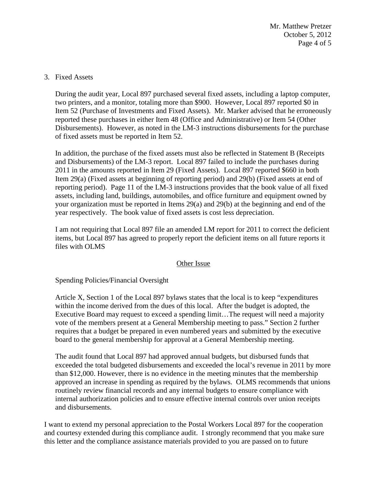Mr. Matthew Pretzer October 5, 2012 Page 4 of 5

### 3. Fixed Assets

During the audit year, Local 897 purchased several fixed assets, including a laptop computer, two printers, and a monitor, totaling more than \$900. However, Local 897 reported \$0 in Item 52 (Purchase of Investments and Fixed Assets). Mr. Marker advised that he erroneously reported these purchases in either Item 48 (Office and Administrative) or Item 54 (Other Disbursements). However, as noted in the LM-3 instructions disbursements for the purchase of fixed assets must be reported in Item 52.

In addition, the purchase of the fixed assets must also be reflected in Statement B (Receipts and Disbursements) of the LM-3 report. Local 897 failed to include the purchases during 2011 in the amounts reported in Item 29 (Fixed Assets). Local 897 reported \$660 in both Item 29(a) (Fixed assets at beginning of reporting period) and 29(b) (Fixed assets at end of reporting period). Page 11 of the LM-3 instructions provides that the book value of all fixed assets, including land, buildings, automobiles, and office furniture and equipment owned by your organization must be reported in Items 29(a) and 29(b) at the beginning and end of the year respectively. The book value of fixed assets is cost less depreciation.

I am not requiring that Local 897 file an amended LM report for 2011 to correct the deficient items, but Local 897 has agreed to properly report the deficient items on all future reports it files with OLMS

#### Other Issue

Spending Policies/Financial Oversight

Article X, Section 1 of the Local 897 bylaws states that the local is to keep "expenditures within the income derived from the dues of this local. After the budget is adopted, the Executive Board may request to exceed a spending limit…The request will need a majority vote of the members present at a General Membership meeting to pass." Section 2 further requires that a budget be prepared in even numbered years and submitted by the executive board to the general membership for approval at a General Membership meeting.

The audit found that Local 897 had approved annual budgets, but disbursed funds that exceeded the total budgeted disbursements and exceeded the local's revenue in 2011 by more than \$12,000. However, there is no evidence in the meeting minutes that the membership approved an increase in spending as required by the bylaws. OLMS recommends that unions routinely review financial records and any internal budgets to ensure compliance with internal authorization policies and to ensure effective internal controls over union receipts and disbursements.

I want to extend my personal appreciation to the Postal Workers Local 897 for the cooperation and courtesy extended during this compliance audit. I strongly recommend that you make sure this letter and the compliance assistance materials provided to you are passed on to future